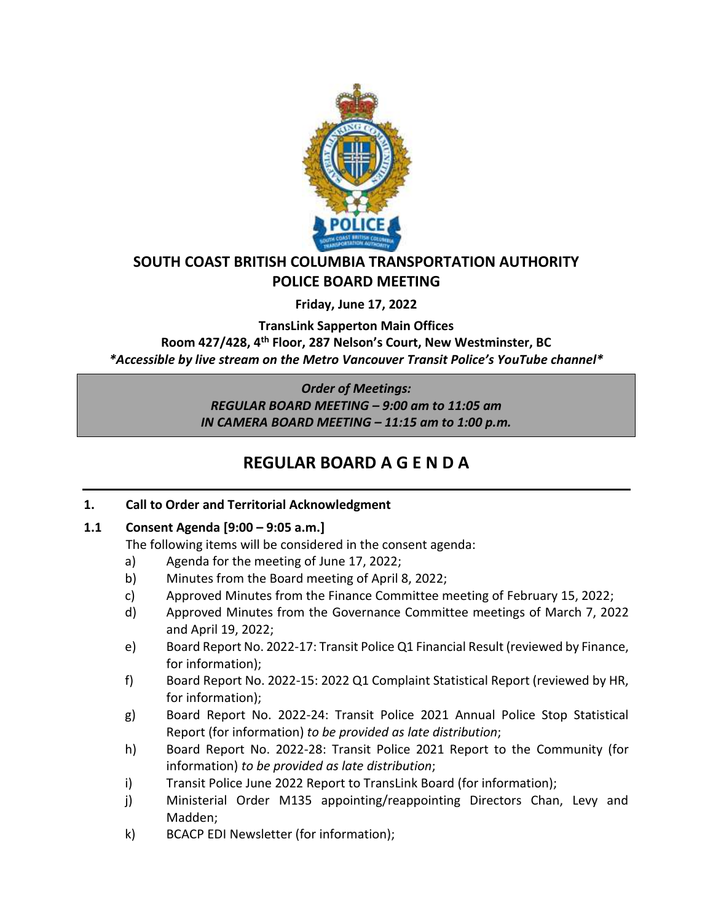

## **SOUTH COAST BRITISH COLUMBIA TRANSPORTATION AUTHORITY POLICE BOARD MEETING**

**Friday, June 17, 2022**

**TransLink Sapperton Main Offices**

**Room 427/428, 4th Floor, 287 Nelson's Court, New Westminster, BC** *\*Accessible by live stream on the Metro Vancouver Transit Police's YouTube channel\**

*Order of Meetings:*

*REGULAR BOARD MEETING – 9:00 am to 11:05 am IN CAMERA BOARD MEETING – 11:15 am to 1:00 p.m.*

# **REGULAR BOARD A G E N D A**

## **1. Call to Order and Territorial Acknowledgment**

## **1.1 Consent Agenda [9:00 – 9:05 a.m.]**

The following items will be considered in the consent agenda:

- a) Agenda for the meeting of June 17, 2022;
- b) Minutes from the Board meeting of April 8, 2022;
- c) Approved Minutes from the Finance Committee meeting of February 15, 2022;
- d) Approved Minutes from the Governance Committee meetings of March 7, 2022 and April 19, 2022;
- e) Board Report No. 2022-17: Transit Police Q1 Financial Result (reviewed by Finance, for information);
- f) Board Report No. 2022-15: 2022 Q1 Complaint Statistical Report (reviewed by HR, for information);
- g) Board Report No. 2022-24: Transit Police 2021 Annual Police Stop Statistical Report (for information) *to be provided as late distribution*;
- h) Board Report No. 2022-28: Transit Police 2021 Report to the Community (for information) *to be provided as late distribution*;
- i) Transit Police June 2022 Report to TransLink Board (for information);
- j) Ministerial Order M135 appointing/reappointing Directors Chan, Levy and Madden;
- k) BCACP EDI Newsletter (for information);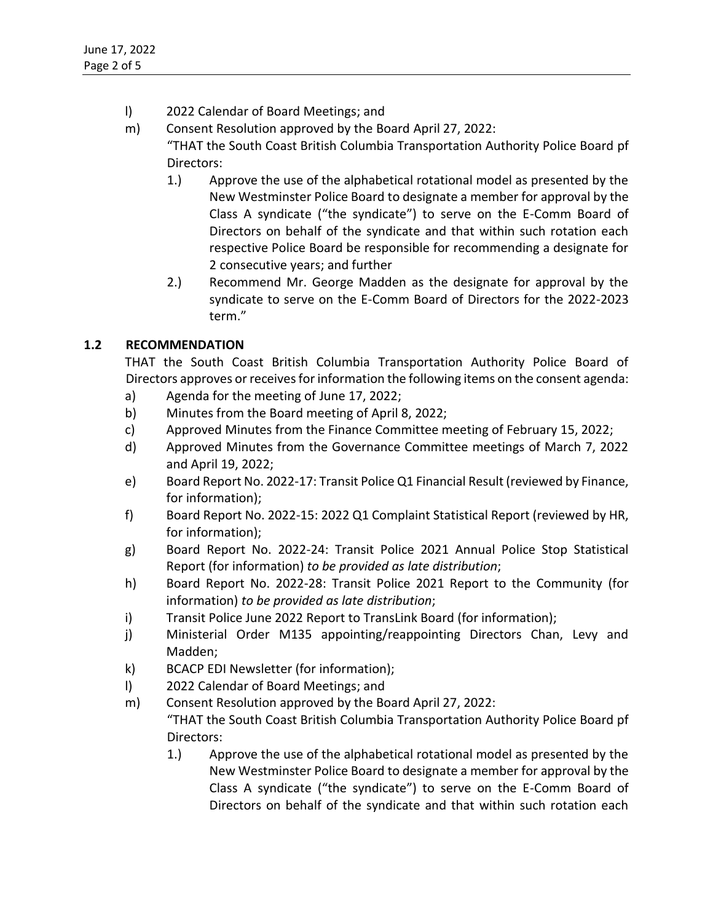- l) 2022 Calendar of Board Meetings; and
- m) Consent Resolution approved by the Board April 27, 2022: "THAT the South Coast British Columbia Transportation Authority Police Board pf Directors:
	- 1.) Approve the use of the alphabetical rotational model as presented by the New Westminster Police Board to designate a member for approval by the Class A syndicate ("the syndicate") to serve on the E-Comm Board of Directors on behalf of the syndicate and that within such rotation each respective Police Board be responsible for recommending a designate for 2 consecutive years; and further
	- 2.) Recommend Mr. George Madden as the designate for approval by the syndicate to serve on the E-Comm Board of Directors for the 2022-2023 term."

## **1.2 RECOMMENDATION**

THAT the South Coast British Columbia Transportation Authority Police Board of Directors approves or receives for information the following items on the consent agenda:

- a) Agenda for the meeting of June 17, 2022;
- b) Minutes from the Board meeting of April 8, 2022;
- c) Approved Minutes from the Finance Committee meeting of February 15, 2022;
- d) Approved Minutes from the Governance Committee meetings of March 7, 2022 and April 19, 2022;
- e) Board Report No. 2022-17: Transit Police Q1 Financial Result (reviewed by Finance, for information);
- f) Board Report No. 2022-15: 2022 Q1 Complaint Statistical Report (reviewed by HR, for information);
- g) Board Report No. 2022-24: Transit Police 2021 Annual Police Stop Statistical Report (for information) *to be provided as late distribution*;
- h) Board Report No. 2022-28: Transit Police 2021 Report to the Community (for information) *to be provided as late distribution*;
- i) Transit Police June 2022 Report to TransLink Board (for information);
- j) Ministerial Order M135 appointing/reappointing Directors Chan, Levy and Madden;
- k) BCACP EDI Newsletter (for information);
- l) 2022 Calendar of Board Meetings; and
- m) Consent Resolution approved by the Board April 27, 2022: "THAT the South Coast British Columbia Transportation Authority Police Board pf Directors:
	- 1.) Approve the use of the alphabetical rotational model as presented by the New Westminster Police Board to designate a member for approval by the Class A syndicate ("the syndicate") to serve on the E-Comm Board of Directors on behalf of the syndicate and that within such rotation each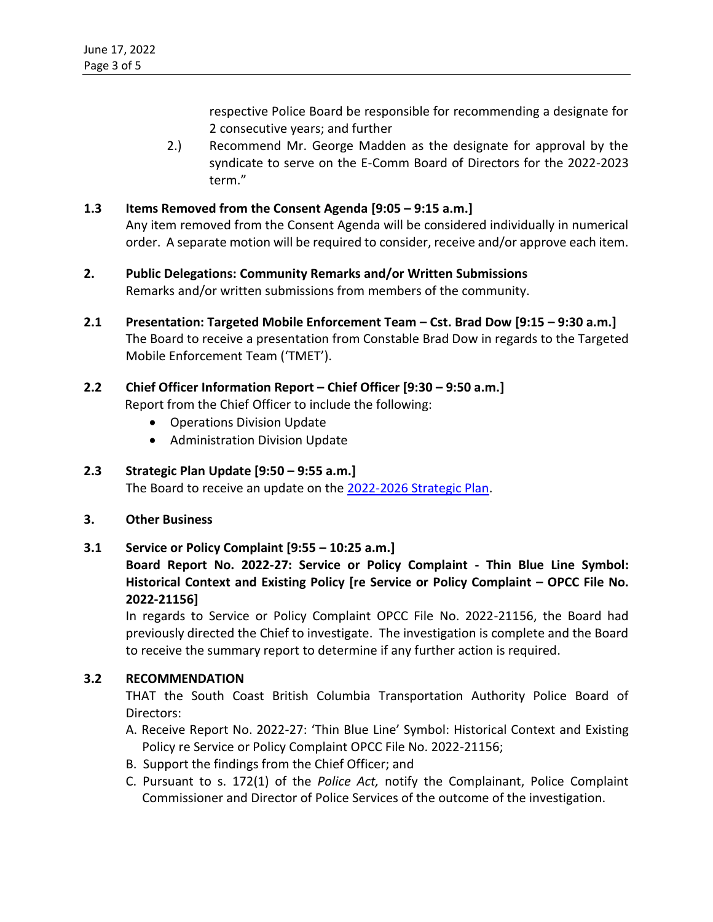respective Police Board be responsible for recommending a designate for 2 consecutive years; and further

2.) Recommend Mr. George Madden as the designate for approval by the syndicate to serve on the E-Comm Board of Directors for the 2022-2023 term."

## **1.3 Items Removed from the Consent Agenda [9:05 – 9:15 a.m.]**

Any item removed from the Consent Agenda will be considered individually in numerical order. A separate motion will be required to consider, receive and/or approve each item.

- **2. Public Delegations: Community Remarks and/or Written Submissions** Remarks and/or written submissions from members of the community.
- **2.1 Presentation: Targeted Mobile Enforcement Team – Cst. Brad Dow [9:15 – 9:30 a.m.]** The Board to receive a presentation from Constable Brad Dow in regards to the Targeted Mobile Enforcement Team ('TMET').

## **2.2 Chief Officer Information Report – Chief Officer [9:30 – 9:50 a.m.]**

Report from the Chief Officer to include the following:

- Operations Division Update
- Administration Division Update

### **2.3 Strategic Plan Update [9:50 – 9:55 a.m.]**

The Board to receive an update on the [2022-2026 Strategic Plan.](https://transitpolice.ca/wp-content/uploads/2022/01/Transit-Police-Strategic-Plan-20211208-v10-FINAL-web-spreads.pdf)

**3. Other Business**

### **3.1 Service or Policy Complaint [9:55 – 10:25 a.m.]**

**Board Report No. 2022-27: Service or Policy Complaint - Thin Blue Line Symbol:** Historical Context and Existing Policy [re Service or Policy Complaint – OPCC File No. **2022-21156]**

In regards to Service or Policy Complaint OPCC File No. 2022-21156, the Board had previously directed the Chief to investigate. The investigation is complete and the Board to receive the summary report to determine if any further action is required.

### **3.2 RECOMMENDATION**

THAT the South Coast British Columbia Transportation Authority Police Board of Directors:

- A. Receive Report No. 2022-27: 'Thin Blue Line' Symbol: Historical Context and Existing Policy re Service or Policy Complaint OPCC File No. 2022-21156;
- B. Support the findings from the Chief Officer; and
- C. Pursuant to s. 172(1) of the *Police Act,* notify the Complainant, Police Complaint Commissioner and Director of Police Services of the outcome of the investigation.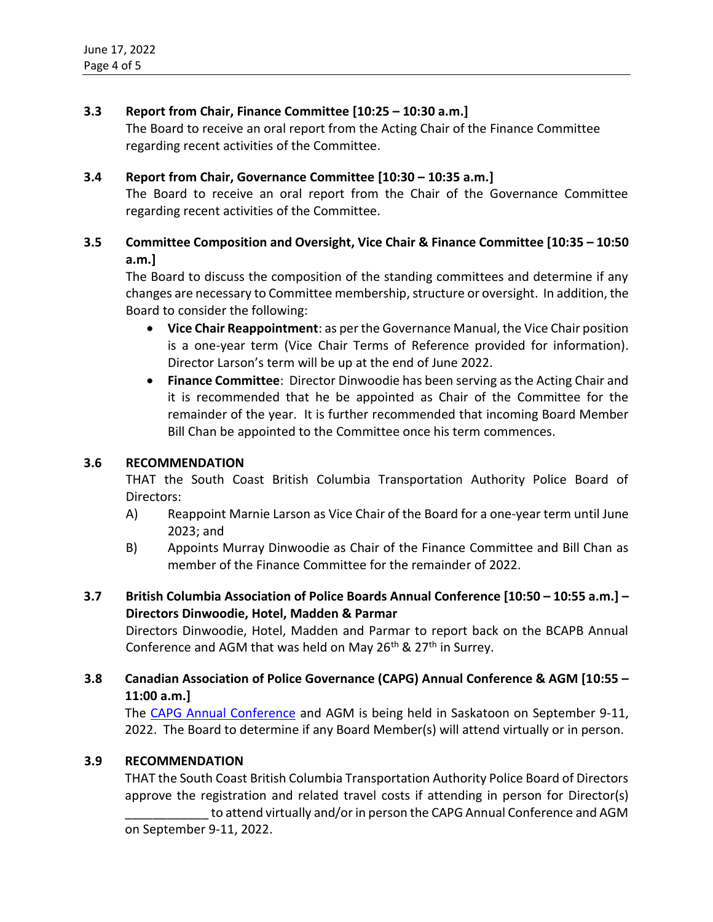## **3.3 Report from Chair, Finance Committee [10:25 – 10:30 a.m.]**

The Board to receive an oral report from the Acting Chair of the Finance Committee regarding recent activities of the Committee.

### **3.4 Report from Chair, Governance Committee [10:30 – 10:35 a.m.]**

The Board to receive an oral report from the Chair of the Governance Committee regarding recent activities of the Committee.

## **3.5 Committee Composition and Oversight, Vice Chair & Finance Committee [10:35 – 10:50 a.m.]**

The Board to discuss the composition of the standing committees and determine if any changes are necessary to Committee membership, structure or oversight. In addition, the Board to consider the following:

- **Vice Chair Reappointment**: as per the Governance Manual, the Vice Chair position is a one-year term (Vice Chair Terms of Reference provided for information). Director Larson's term will be up at the end of June 2022.
- **Finance Committee**: Director Dinwoodie has been serving as the Acting Chair and it is recommended that he be appointed as Chair of the Committee for the remainder of the year. It is further recommended that incoming Board Member Bill Chan be appointed to the Committee once his term commences.

### **3.6 RECOMMENDATION**

THAT the South Coast British Columbia Transportation Authority Police Board of Directors:

- A) Reappoint Marnie Larson as Vice Chair of the Board for a one-year term until June 2023; and
- B) Appoints Murray Dinwoodie as Chair of the Finance Committee and Bill Chan as member of the Finance Committee for the remainder of 2022.
- **3.7 British Columbia Association of Police Boards Annual Conference [10:50 – 10:55 a.m.] – Directors Dinwoodie, Hotel, Madden & Parmar**

Directors Dinwoodie, Hotel, Madden and Parmar to report back on the BCAPB Annual Conference and AGM that was held on May  $26<sup>th</sup>$  &  $27<sup>th</sup>$  in Surrey.

## **3.8 Canadian Association of Police Governance (CAPG) Annual Conference & AGM [10:55 – 11:00 a.m.]**

The [CAPG Annual Conference](https://capgconference.ca/) and AGM is being held in Saskatoon on September 9-11, 2022. The Board to determine if any Board Member(s) will attend virtually or in person.

### **3.9 RECOMMENDATION**

THAT the South Coast British Columbia Transportation Authority Police Board of Directors approve the registration and related travel costs if attending in person for Director(s)

to attend virtually and/or in person the CAPG Annual Conference and AGM on September 9-11, 2022.